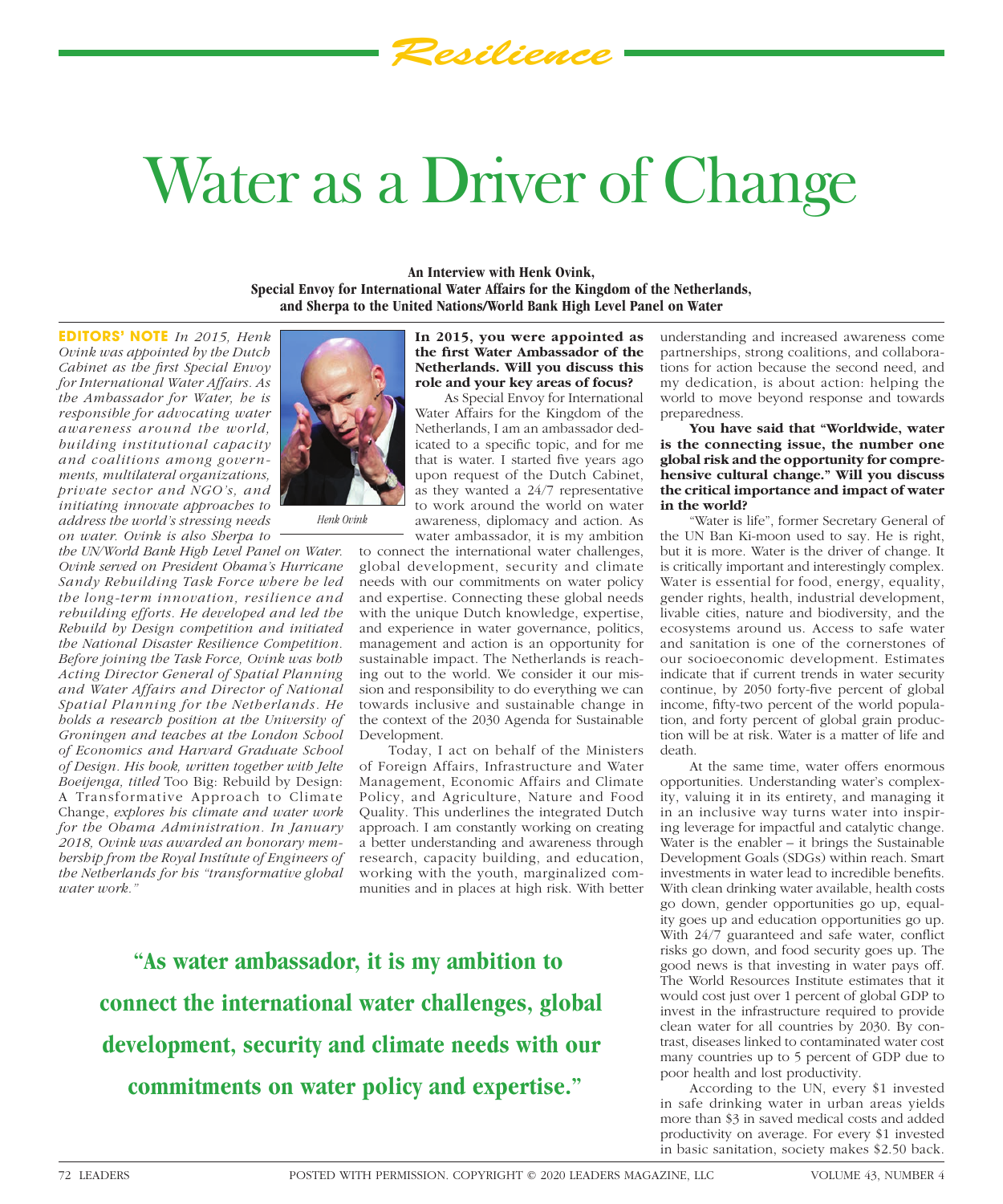# Water as a Driver of Change

*Resilience*

**An Interview with Henk Ovink, Special Envoy for International Water Affairs for the Kingdom of the Netherlands, and Sherpa to the United Nations/World Bank High Level Panel on Water**

**EDITORS' NOTE** *In 2015, Henk Ovink was appointed by the Dutch Cabinet as the first Special Envoy for International Water Affairs. As the Ambassador for Water, he is responsible for advocating water awareness around the world, building institutional capacity and coalitions among governments, multilateral organizations, private sector and NGO's, and initiating innovate approaches to address the world's stressing needs on water. Ovink is also Sherpa to* 

*the UN/World Bank High Level Panel on Water. Ovink served on President Obama's Hurricane Sandy Rebuilding Task Force where he led the long-term innovation, resilience and rebuilding efforts. He developed and led the Rebuild by Design competition and initiated the National Disaster Resilience Competition. Before joining the Task Force, Ovink was both Acting Director General of Spatial Planning and Water Affairs and Director of National Spatial Planning for the Netherlands. He holds a research position at the University of Groningen and teaches at the London School of Economics and Harvard Graduate School of Design. His book, written together with Jelte Boeijenga, titled* Too Big: Rebuild by Design: A Transformative Approach to Climate Change, *explores his climate and water work for the Obama Administration. In January 2018, Ovink was awarded an honorary membership from the Royal Instítute of Engineers of the Netherlands for his "transformative global water work."* 



**In 2015, you were appointed as**  the first Water Ambassador of the **Netherlands. Will you discuss this role and your key areas of focus?**

As Special Envoy for International Water Affairs for the Kingdom of the Netherlands, I am an ambassador dedicated to a specific topic, and for me that is water. I started five years ago upon request of the Dutch Cabinet, as they wanted a 24/7 representative to work around the world on water awareness, diplomacy and action. As water ambassador, it is my ambition

to connect the international water challenges, global development, security and climate needs with our commitments on water policy and expertise. Connecting these global needs with the unique Dutch knowledge, expertise, and experience in water governance, politics, management and action is an opportunity for sustainable impact. The Netherlands is reaching out to the world. We consider it our mission and responsibility to do everything we can towards inclusive and sustainable change in the context of the 2030 Agenda for Sustainable Development.

Today, I act on behalf of the Ministers of Foreign Affairs, Infrastructure and Water Management, Economic Affairs and Climate Policy, and Agriculture, Nature and Food Quality. This underlines the integrated Dutch approach. I am constantly working on creating a better understanding and awareness through research, capacity building, and education, working with the youth, marginalized communities and in places at high risk. With better

**"As water ambassador, it is my ambition to connect the international water challenges, global development, security and climate needs with our commitments on water policy and expertise."**

understanding and increased awareness come partnerships, strong coalitions, and collaborations for action because the second need, and my dedication, is about action: helping the world to move beyond response and towards preparedness.

**You have said that "Worldwide, water is the connecting issue, the number one global risk and the opportunity for comprehensive cultural change." Will you discuss the critical importance and impact of water in the world?**

"Water is life", former Secretary General of the UN Ban Ki-moon used to say. He is right, but it is more. Water is the driver of change. It is critically important and interestingly complex. Water is essential for food, energy, equality, gender rights, health, industrial development, livable cities, nature and biodiversity, and the ecosystems around us. Access to safe water and sanitation is one of the cornerstones of our socioeconomic development. Estimates indicate that if current trends in water security continue, by 2050 forty-five percent of global income, fifty-two percent of the world population, and forty percent of global grain production will be at risk. Water is a matter of life and death.

At the same time, water offers enormous opportunities. Understanding water's complexity, valuing it in its entirety, and managing it in an inclusive way turns water into inspiring leverage for impactful and catalytic change. Water is the enabler – it brings the Sustainable Development Goals (SDGs) within reach. Smart investments in water lead to incredible benefits. With clean drinking water available, health costs go down, gender opportunities go up, equality goes up and education opportunities go up. With 24/7 guaranteed and safe water, conflict risks go down, and food security goes up. The good news is that investing in water pays off. The World Resources Institute estimates that it would cost just over 1 percent of global GDP to invest in the infrastructure required to provide clean water for all countries by 2030. By contrast, diseases linked to contaminated water cost many countries up to 5 percent of GDP due to poor health and lost productivity.

According to the UN, every \$1 invested in safe drinking water in urban areas yields more than \$3 in saved medical costs and added productivity on average. For every \$1 invested in basic sanitation, society makes \$2.50 back.